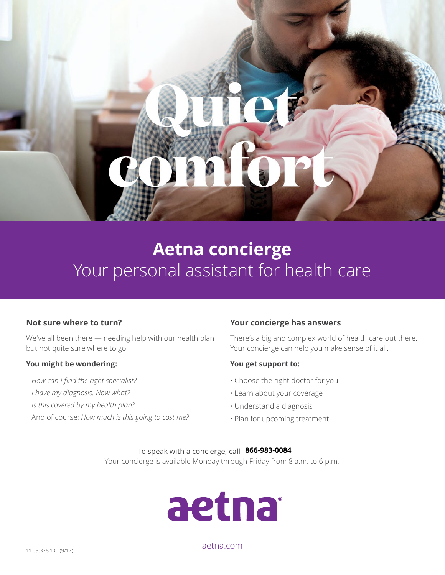## **Aetna concierge**  Your personal assistant for health care

#### **Not sure where to turn?**

We've all been there — needing help with our health plan but not quite sure where to go.

#### **You might be wondering:**

*How can I find the right specialist?* 

- *I have my diagnosis. Now what?*
- *Is this covered by my health plan?*
- And of course: *How much is this going to cost me?*

#### **Your concierge has answers**

There's a big and complex world of health care out there. Your concierge can help you make sense of it all.

#### **You get support to:**

- Choose the right doctor for you
- Learn about your coverage
- Understand a diagnosis
- Plan for upcoming treatment

To speak with a concierge, call **[XXX-XXX-XXXX.] 866-983-0084**Your concierge is available Monday through Friday from 8 a.m. to 6 p.m.



[aetna.com](http://www.aetna.com)